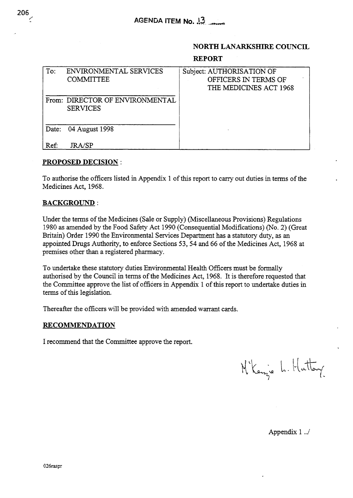## **NORTH LANARKSHIRE COUNCIL**

### **REPORT**

| To:  | ENVIRONMENTAL SERVICES<br><b>COMMITTEE</b>         | Subject: AUTHORISATION OF<br>OFFICERS IN TERMS OF<br>THE MEDICINES ACT 1968 |
|------|----------------------------------------------------|-----------------------------------------------------------------------------|
|      | From: DIRECTOR OF ENVIRONMENTAL<br><b>SERVICES</b> |                                                                             |
|      | Date: 04 August 1998                               |                                                                             |
| Ref: | <b>IRA/SP</b>                                      |                                                                             |

### **PROPOSED DECISION** :

To authorise the officers listed in Appendix 1 of this report to carry out duties in terms of the Medicines Act, 1968.

# **BACKGROUND** :

Under the terms of the Medicines (Sale or Supply) (Miscellaneous Provisions) Regulations 1980 as amended by the Food Safety Act 1990 (Consequential Modifications) (No. 2) (Great Britain) Order 1990 the Environmental Services Department has a statutory duty, **as an**  appointed Drugs Authority, to enforce Sections **53,54** and 66 of the Medicines Act, 1968 at premises other than a registered pharmacy.

To undertake these statutory duties Environmental Health Officers must be formally authorised by the Council in terms of the Medicines Act, 1968. It is therefore requested that the Committee approve the list of officers in Appendix 1 of this report to undertake duties in terms of this legislation.

Thereafter the officers will be provided with amended warrant cards.

### **RECOMMENDATION**

I recommend that the Committee approve the report.

M'Kenzie L. Hattary

Appendix 1 ../